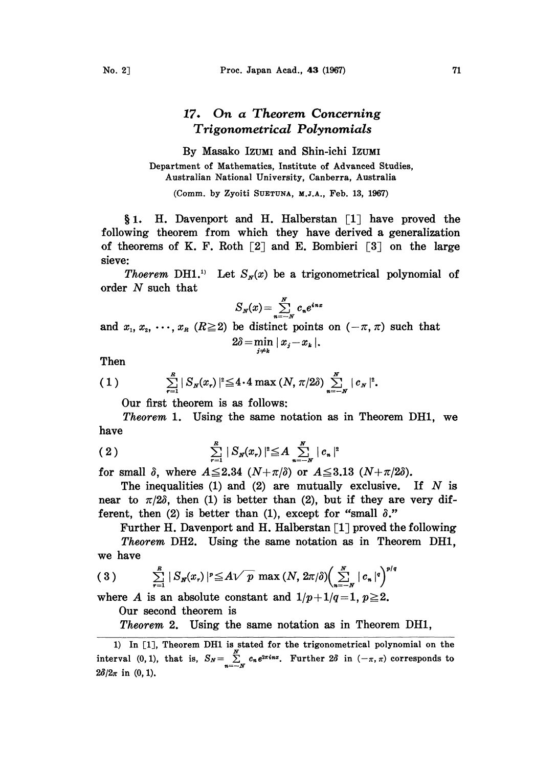## 17. On a Theorem Concerning Trigonometrical Polynomials

By Masako IZUMI and Shin-iehi IZUMI Department of Mathematics, Institute of Advanced Studies, Australian National University, Canberra, Australia

(Comm. by Zyoiti SUETUNA, M.J.A., Feb. 13, 1967)

§ 1. H. Davenport and H. Halberstan  $\lceil 1 \rceil$  have proved the following theorem from which they have derived a generalization of theorems of K. F. Roth  $[2]$  and E. Bombieri  $[3]$  on the large sieve:

*Thoerem* DH1.<sup>1)</sup> Let  $S_{N}(x)$  be a trigonometrical polynomial of order N such that

$$
S_N(x) = \sum_{n=-N}^N c_n e^{inx}
$$

and  $x_1, x_2, \dots, x_n$  ( $R \ge 2$ ) be distinct points on  $(-\pi, \pi)$  such that  $2\delta = \min_{i \neq k} |x_i - x_k|.$ 

Then

(1) 
$$
\sum_{r=1}^R |S_N(x_r)|^2 \leq 4 \cdot 4 \max (N, \pi/2\delta) \sum_{n=-N}^N |c_N|^2.
$$

Our first theorem is as follows:

Theorem 1. Using the same notation as in Theorem DH1, we have

(2) 
$$
\sum_{r=1}^{R} |S_{N}(x_{r})|^{2} \leq A \sum_{n=-N}^{N} |c_{n}|^{2}
$$

for small  $\delta$ , where  $A \leq 2.34$   $(N+\pi/\delta)$  or  $A \leq 3.13$   $(N+\pi/2\delta)$ .

The inequalities (1) and (2) are mutually exclusive. If  $N$  is near to  $\pi/2\delta$ , then (1) is better than (2), but if they are very different, then (2) is better than (1), except for "small  $\delta$ ."

Further H. Davenport and H. Halberstan  $\lceil 1 \rceil$  proved the following

Theorem DH2. Using the same notation as in Theorem DH1, we have

$$
(3) \qquad \sum_{r=1}^R |S_{\mathbf{N}}(x_r)|^p \leq A \sqrt{p} \max (N, 2\pi/\delta) \Biggl(\sum_{n=-N}^N |c_n|^q\Biggr)^{p/q}
$$

where A is an absolute constant and  $1/p+1/q=1$ ,  $p\geq 2$ .

Our second theorem is

Theorem 2. Using the same notation as in Theorem DH1,

<sup>1)</sup> In [1], Theorem DH1 is stated for the trigonometrical polynomial on the interval (0,1), that is,  $S_N = \sum_{n=-N}^{N} c_n e^{2\pi i n x}$ . Further  $2\delta$  in  $(-\pi, \pi)$  corresponds to  $2\delta/2\pi$  in (0, 1).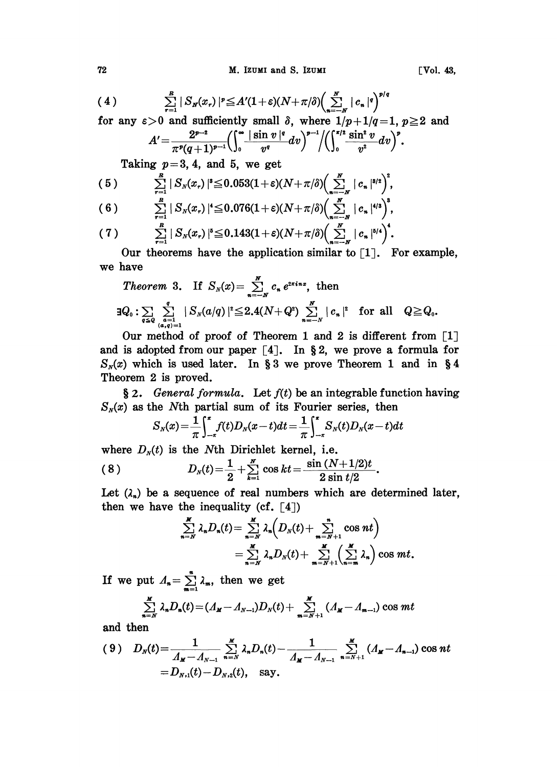$$
(4) \qquad \qquad \sum_{r=1}^R |S_N(x_r)|^p \leq A'(1+\varepsilon)(N+\pi/\delta) \Biggl(\sum_{n=-N}^N |c_n|^q\Biggr)^{p/q}
$$

for any  $\varepsilon > 0$  and sufficiently small  $\delta$ , where  $1/p+1/q=1$ ,  $p \ge 2$  and

$$
A' = \frac{2^{p-2}}{\pi^p (q+1)^{p-1}} \left( \int_0^\infty \frac{|\sin v|^q}{v^q} dv \right)^{p-1} / \left( \int_0^{\pi/2} \frac{\sin^2 v}{v^2} dv \right)^p.
$$

Taking  $p=3, 4,$  and 5, we get

(5) 
$$
\sum_{r=1}^{R} |S_{N}(x_{r})|^s \leq 0.053(1+\varepsilon)(N+\pi/\delta)\Big(\sum_{n=-N}^{N} |c_{n}|^{s/2}\Big)^2,
$$
  
(6) 
$$
\sum_{r=1}^{R} |S_{N}(x_{r})|^s \leq 0.076(1+\varepsilon)(N+\pi/\delta)\Big(\sum_{r=1}^{N} |c_{n}|^{s/2}\Big)^3.
$$

$$
(6) \qquad \sum_{r=1}^R |S_N(x_r)|^4 \leq 0.076(1+\varepsilon)(N+\pi/\delta)\Big(\sum_{n=-N}^N |c_n|^{4/3}\Big),
$$
  

$$
(7) \qquad \sum_{r=1}^R |S_N(x_r)|^5 \leq 0.143(1+\varepsilon)(N+\pi/\delta)\Big(\sum_{r=1}^N |c_n|^{5/4}\Big)^4.
$$

Our theorems have the application similar to  $[1]$ . For example, we have

Theorem 3. If 
$$
S_N(x) = \sum_{n=-N}^{N} c_n e^{2\pi i n x}
$$
, then  
\n
$$
\exists Q_0 : \sum_{q \leq Q} \sum_{\substack{a=1 \\ (a,q)=1}}^{q} |S_N(a/q)|^2 \leq 2.4(N+Q^2) \sum_{n=-N}^{N} |c_n|^2 \text{ for all } Q \geq Q_0.
$$

Our method of proof of Theorem 1 and 2 is different from  $\lceil 1 \rceil$ and is adopted from our paper  $\lceil 4 \rceil$ . In §2, we prove a formula for  $S_{N}(x)$  which is used later. In § 3 we prove Theorem 1 and in § 4 Theorem 2 is proved.

§ 2. General formula. Let  $f(t)$  be an integrable function having  $S_N(x)$  as the Nth partial sum of its Fourier series, then

$$
S_N(x) = \frac{1}{\pi} \int_{-\pi}^{\pi} f(t) D_N(x-t) dt = \frac{1}{\pi} \int_{-\pi}^{\pi} S_N(t) D_N(x-t) dt
$$

where  $D_N(t)$  is the Nth Dirichlet kernel, i.e.

$$
S_N(x) = \frac{1}{\pi} \int_{-\pi}^{\pi} J(t) D_N(x-t) dt = \frac{1}{\pi} \int_{-\pi}^{\pi} S_N(t) D_N(x-t) dt
$$
  
where  $D_N(t)$  is the Nth Dirichlet Kernel, i.e.  
(8)  

$$
D_N(t) = \frac{1}{2} + \sum_{k=1}^{N} \cos kt = \frac{\sin (N+1/2)t}{2 \sin t/2}.
$$

Let  $(\lambda_n)$  be a sequence of real numbers which are determined later, then we have the inequality (cf.  $[4]$ )

$$
\sum_{n=N}^{M} \lambda_n D_n(t) = \sum_{n=N}^{M} \lambda_n \left( D_N(t) + \sum_{m=N+1}^{n} \cos nt \right)
$$
  
= 
$$
\sum_{n=N}^{M} \lambda_n D_N(t) + \sum_{m=N+1}^{M} \left( \sum_{n=m}^{M} \lambda_n \right) \cos mt.
$$

If we put  $\Lambda_n = \sum_{m=1}^n \lambda_m$ , then we get

$$
\sum_{n=N}^{M} \lambda_n D_n(t) = (A_M - A_{N-1})D_N(t) + \sum_{m=N+1}^{M} (A_M - A_{m-1}) \cos mt
$$

and then

$$
(9) \quad D_N(t) = \frac{1}{\Lambda_M - A_{N-1}} \sum_{n=N}^M \lambda_n D_n(t) - \frac{1}{\Lambda_M - A_{N-1}} \sum_{n=N+1}^M (A_M - A_{n-1}) \cos nt
$$
  
=  $D_{N,1}(t) - D_{N,2}(t)$ , say.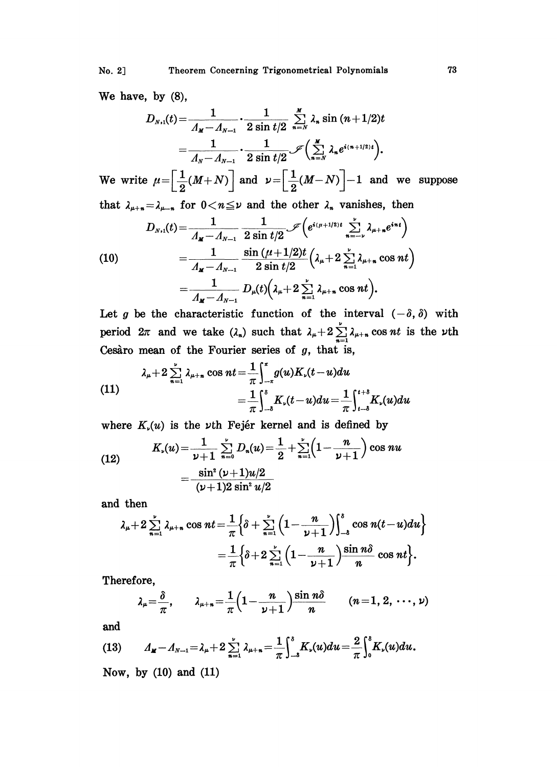No. 2]

We have, by  $(8)$ ,

$$
D_{N,1}(t) = \frac{1}{\Lambda_{M}-\Lambda_{N-1}} \cdot \frac{1}{2 \sin t/2} \sum_{n=N}^{M} \lambda_{n} \sin (n+1/2)t
$$
  
= 
$$
\frac{1}{\Lambda_{N}-\Lambda_{N-1}} \cdot \frac{1}{2 \sin t/2} \mathcal{I}\left(\sum_{n=N}^{M} \lambda_{n} e^{i(n+1/2)t}\right).
$$

We write  $\mu = \left[\frac{1}{2}(M+N)\right]$  and  $\nu = \left[\frac{1}{2}(M-N)\right] - 1$  and we suppose that  $\lambda_{\mu+n} = \lambda_{\mu-n}$  for  $0 < n \leq \nu$  and the other  $\lambda_n$  vanishes, then

(10)  
\n
$$
D_{N,1}(t) = \frac{1}{\Lambda_{M} - \Lambda_{N-1}} \frac{1}{2 \sin t/2} \mathcal{J}\left(e^{i(\mu+1/2)t} \sum_{n=-\nu}^{\nu} \lambda_{\mu+n} e^{in t}\right)
$$
\n
$$
= \frac{1}{\Lambda_{M} - \Lambda_{N-1}} \frac{\sin (\mu + 1/2)t}{2 \sin t/2} \left(\lambda_{\mu} + 2 \sum_{n=1}^{\nu} \lambda_{\mu+n} \cos nt\right)
$$
\n
$$
= \frac{1}{\Lambda_{N} - \Lambda_{N-1}} D_{\mu}(t) \left(\lambda_{\mu} + 2 \sum_{n=1}^{\nu} \lambda_{\mu+n} \cos nt\right).
$$

Let g be the characteristic function of the interval  $(-\delta, \delta)$  with period  $2\pi$  and we take  $(\lambda_n)$  such that  $\lambda_{\mu}+2\sum_{n=1}^{\nu} \lambda_{\mu+n} \cos nt$  is the  $\nu$ th Cesaro mean of the Fourier series of g, that is,

(11)  

$$
\lambda_{\mu} + 2 \sum_{n=1}^{\nu} \lambda_{\mu+n} \cos nt = \frac{1}{\pi} \int_{-\pi}^{\pi} g(u) K_{\nu}(t-u) du
$$

$$
= \frac{1}{\pi} \int_{-\delta}^{\delta} K_{\nu}(t-u) du = \frac{1}{\pi} \int_{t-\delta}^{t+\delta} K_{\nu}(u) du
$$

where  $K_{\nu}(u)$  is the  $\nu$ th Fejér kernel and is defined by

(12) 
$$
K_{\nu}(u) = \frac{1}{\nu+1} \sum_{n=0}^{\nu} D_{n}(u) = \frac{1}{2} + \sum_{n=1}^{\nu} \left(1 - \frac{n}{\nu+1}\right) \cos nu
$$

$$
= \frac{\sin^{2} (\nu+1)u/2}{(\nu+1)2 \sin^{2} u/2}
$$

and then

$$
\lambda_{\mu}+2\sum_{n=1}^{\nu}\lambda_{\mu+n}\cos nt = \frac{1}{\pi}\Big\{\delta+\sum_{n=1}^{\nu}\Big(1-\frac{n}{\nu+1}\Big)\Big\}_{-\delta}^{\delta}\cos n(t-u)du\Big\}\\ = \frac{1}{\pi}\Big\{\delta+2\sum_{n=1}^{\nu}\Big(1-\frac{n}{\nu+1}\Big)\frac{\sin n\delta}{n}\cos nt\Big\}.
$$

Therefore,

$$
\lambda_{\mu} = \frac{\delta}{\pi}, \qquad \lambda_{\mu+n} = \frac{1}{\pi} \left( 1 - \frac{n}{\nu+1} \right) \frac{\sin n\delta}{n} \qquad (n = 1, 2, \cdots, \nu)
$$

and

(13) 
$$
A_{\mathbf{M}} - A_{N-1} = \lambda_{\mu} + 2 \sum_{n=1}^{\nu} \lambda_{\mu+n} = \frac{1}{\pi} \int_{-\delta}^{\delta} K_{\nu}(u) du = \frac{2}{\pi} \int_{0}^{\delta} K_{\nu}(u) du.
$$

Now, by  $(10)$  and  $(11)$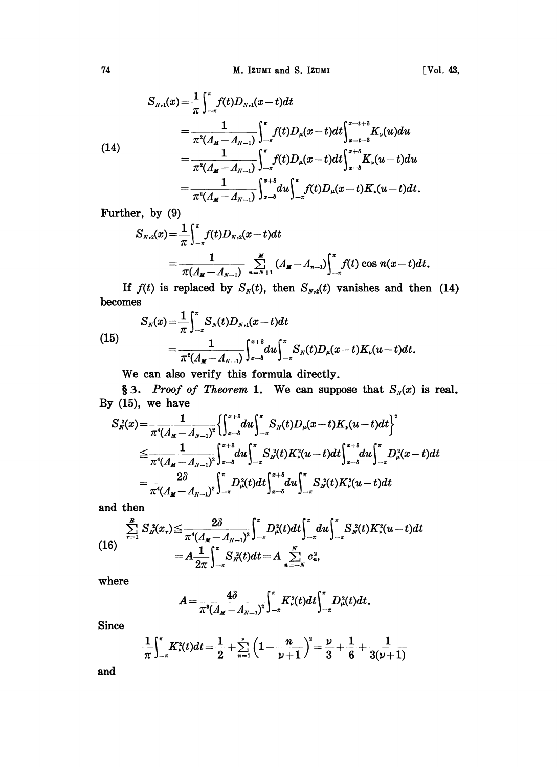74 M. Izumi and S. Izumi 1988. The Col. 43,

(14)  
\n
$$
S_{N,1}(x) = \frac{1}{\pi} \int_{-\pi}^{\pi} f(t) D_{N,1}(x-t) dt
$$
\n
$$
= \frac{1}{\pi^2 (A_{M} - A_{N-1})} \int_{-\pi}^{\pi} f(t) D_{\mu}(x-t) dt \int_{x-t-\delta}^{x-t+\delta} K_{\nu}(u) du
$$
\n
$$
= \frac{1}{\pi^2 (A_{M} - A_{N-1})} \int_{-\pi}^{\pi} f(t) D_{\mu}(x-t) dt \int_{x-\delta}^{x+\delta} K_{\nu}(u-t) du
$$
\n
$$
= \frac{1}{\pi^2 (A_{M} - A_{N-1})} \int_{x-\delta}^{x+\delta} du \int_{-\pi}^{\pi} f(t) D_{\mu}(x-t) K_{\nu}(u-t) dt.
$$

Further, by (9)

$$
S_{N,2}(x) = \frac{1}{\pi} \int_{-\pi}^{\pi} f(t) D_{N,2}(x-t) dt
$$
  
= 
$$
\frac{1}{\pi (A_{M}-A_{N-1})} \sum_{n=N+1}^{M} (A_{M}-A_{n-1}) \int_{-\pi}^{\pi} f(t) \cos n(x-t) dt.
$$

If  $f(t)$  is replaced by  $S_N(t)$ , then  $S_{N,2}(t)$  vanishes and then (14) becomes

(15) 
$$
S_N(x) = \frac{1}{\pi} \int_{-\pi}^{\pi} S_N(t) D_{N,1}(x-t) dt
$$

$$
= \frac{1}{\pi^2 (A_{\mathbf{M}} - A_{N-1})} \int_{x-\delta}^{x+\delta} du \int_{-\pi}^{\pi} S_N(t) D_{\mu}(x-t) K_{\nu}(u-t) dt.
$$

We can also verify this formula directly.

§ 3. Proof of Theorem 1. We can suppose that  $S_N(x)$  is real. By (15), we have

$$
S_{N}(x) = \frac{1}{\pi^{4}(A_{M}-A_{N-1})^{2}} \left\{ \int_{x-\delta}^{x+\delta} du \int_{-\pi}^{\pi} S_{N}(t) D_{\mu}(x-t) K_{\nu}(u-t) dt \right\}^{2}
$$
  
\n
$$
\leq \frac{1}{\pi^{4}(A_{M}-A_{N-1})^{2}} \int_{x-\delta}^{x+\delta} du \int_{-\pi}^{\pi} S_{N}^{2}(t) K_{\nu}^{2}(u-t) dt \int_{x-\delta}^{x+\delta} du \int_{-\pi}^{\pi} D_{\mu}^{2}(x-t) dt
$$
  
\n
$$
= \frac{2\delta}{\pi^{4}(A_{M}-A_{N-1})^{2}} \int_{-\pi}^{\pi} D_{\mu}^{2}(t) dt \int_{x-\delta}^{x+\delta} du \int_{-\pi}^{\pi} S_{N}^{2}(t) K_{\nu}^{2}(u-t) dt
$$

and then

$$
(16)\quad \sum_{r=1}^{R} S_{N}^{2}(x_{r}) \leq \frac{2\delta}{\pi^{4}(A_{M}-A_{N-1})^{2}} \int_{-\pi}^{\pi} D_{\mu}^{2}(t) dt \int_{-\pi}^{\pi} du \int_{-\pi}^{\pi} S_{N}^{2}(t) K_{\nu}^{2}(u-t) dt
$$
\n
$$
= A \frac{1}{2\pi} \int_{-\pi}^{\pi} S_{N}^{2}(t) dt = A \sum_{n=-N}^{N} c_{n}^{2},
$$

where

$$
A=\frac{4\delta}{\pi^3(A_{\mathbf{M}}-A_{N-1})^2}\int_{-\pi}^{\pi}K_{\nu}^2(t)dt\int_{-\pi}^{\pi}D_{\mu}^2(t)dt.
$$

Since

$$
\frac{1}{\pi} \int_{-\pi}^{\pi} K_{\nu}^{2}(t) dt = \frac{1}{2} + \sum_{n=1}^{\nu} \left(1 - \frac{n}{\nu + 1}\right)^{2} = \frac{\nu}{3} + \frac{1}{6} + \frac{1}{3(\nu + 1)}
$$

and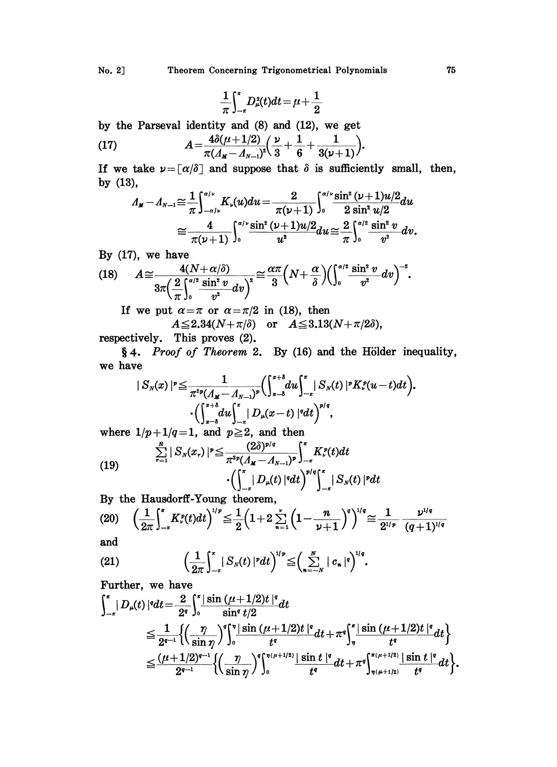$$
\frac{1}{\pi}\!\int_{-\pi}^{\pi}\!D^{\scriptscriptstyle 2}_{\mu}\!(t)dt\!=\!\mu\!+\!\frac{1}{2}
$$

by the Parseval identity and (8) and (12), we get

(17) 
$$
A = \frac{4\delta(\mu+1/2)}{\pi(\Lambda_M - \Lambda_{N-1})^2} \left(\frac{\nu}{3} + \frac{1}{6} + \frac{1}{3(\nu+1)}\right).
$$

If we take  $\nu = \lceil \alpha/\delta \rceil$  and suppose that  $\delta$  is sufficiently small, then, by  $(13)$ ,

$$
A_{M}-A_{N-1}\cong \frac{1}{\pi}\int_{-\alpha/\nu}^{\alpha/\nu}K_{\nu}(u)du=\frac{2}{\pi(\nu+1)}\int_{0}^{\alpha/\nu}\frac{\sin^{2}(\nu+1)u/2}{2\sin^{2}u/2}du
$$

$$
\cong \frac{4}{\pi(\nu+1)}\int_{0}^{\alpha/\nu}\frac{\sin^{2}(\nu+1)u/2}{u^{2}}du\cong \frac{2}{\pi}\int_{0}^{\alpha/2}\frac{\sin^{2}v}{v^{2}}dv.
$$

By (17), we have  
\n
$$
A \cong \frac{4(N+\alpha/\delta)}{3\pi \left(\frac{2}{\pi}\right)_0^{\alpha/2} \frac{\sin^2 v}{v^2} dv\right)^2} \cong \frac{\alpha \pi}{3} \left(N + \frac{\alpha}{\delta}\right) \left(\int_0^{\alpha/2} \frac{\sin^2 v}{v^2} dv\right)^{-2}.
$$

If we put  $\alpha = \pi$  or  $\alpha = \pi/2$  in (18), then

 $A \leq 2.34(N+\pi/\delta)$  or  $A \leq 3.13(N+\pi/2\delta)$ ,

respectively. This proves (2).

4. Proof of Theorem 2. By (16) and the Hölder inequality, we have

$$
|S_{N}(x)|^{p} \leq \frac{1}{\pi^{2p} (A_{M}-A_{N-1})^{p}} \Biggl( \int_{x-\delta}^{x+\delta} du \Biggr)_{-x}^{x} |S_{N}(t)|^{p} K_{r}^{p} (u-t) dt \Biggr).
$$

$$
\cdot \Biggl( \int_{x-\delta}^{x+\delta} du \int_{-x}^{x} |D_{\mu}(x-t)|^{q} dt \Biggr)^{p/q},
$$

where  $1/p+1/q=1$ , and  $p\geq 2$ , and then<br>(2)<br>(2)<br>(5)

(19) 
$$
\sum_{r=1}^{\infty} |S_N(x_r)|^p \leq \frac{(20)^{p/q}}{\pi^{2p}(A_M - A_{N-1})^p} \int_{-\pi}^{\pi} K_{\nu}^p(t) dt
$$

$$
\cdot \left( \int_{-\pi}^{\pi} |D_{\mu}(t)|^q dt \right)^{p/q} \int_{-\pi}^{\pi} |S_N(t)|^p dt
$$

By the Hausdorff-Young theorem,

$$
(20) \quad \left(\frac{1}{2\pi}\int_{-\pi}^{\pi} K_{\nu}^{\rho}(t)dt\right)^{1/\rho} \leq \frac{1}{2}\left(1+2\sum_{n=1}^{\nu}\left(1-\frac{n}{\nu+1}\right)^{q}\right)^{1/q} \leq \frac{1}{2^{1/\rho}}\frac{\nu^{1/q}}{(q+1)^{1/q}}
$$

and

$$
(21) \qquad \qquad \left(\frac{1}{2\pi}\right)^{\kappa}_{-\pi} |S_{N}(t)|^{p} dt\right)^{1/p} \leq \left(\sum_{n=-N}^{N} |c_{n}|^{q}\right)^{1/q}.
$$

Further, we have

$$
\int_{-\pi}^{\pi} |D_{\mu}(t)|^{q} dt = \frac{2}{2^{q}} \int_{0}^{\pi} \frac{|\sin (\mu+1/2)t|^{q}}{\sin^{q} t/2} dt
$$
  
\n
$$
\leq \frac{1}{2^{q-1}} \Biggl\{ \Biggl( \frac{\eta}{\sin \eta} \Biggr)^{q} \Biggl\}^{\pi} \Biggl\}^{\frac{1}{2}} \frac{\sin (\mu+1/2)t|^{q}}{t^{q}} dt + \pi^{q} \Biggl\}^{\pi} \Biggl\}^{\frac{1}{2}} \leq \frac{(\mu+1/2)^{q-1}}{2^{q-1}} \Biggl\{ \Biggl( \frac{\eta}{\sin \eta} \Biggr)^{q} \Biggr\}^{\pi(\mu+1/2)} \frac{|\sin t|^{q}}{t^{q}} dt + \pi^{q} \Biggl\}^{\pi(\mu+1/2)} \frac{|\sin t|^{q}}{t^{q}} dt \Biggr\}.
$$